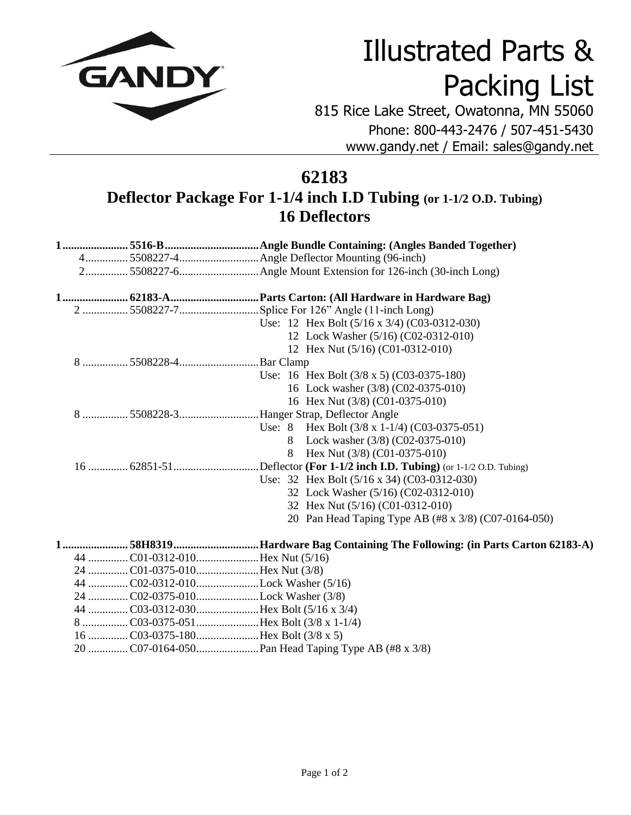

## Illustrated Parts & Packing List

815 Rice Lake Street, Owatonna, MN 55060 Phone: 800-443-2476 / 507-451-5430 www.gandy.net / Email: sales@gandy.net

## **62183 Deflector Package For 1-1/4 inch I.D Tubing (or 1-1/2 O.D. Tubing) 16 Deflectors**

|                                   | Use: 12 Hex Bolt $(5/16 \times 3/4)$ $(C03-0312-030)$                    |
|-----------------------------------|--------------------------------------------------------------------------|
|                                   | 12 Lock Washer (5/16) (C02-0312-010)                                     |
|                                   | 12 Hex Nut (5/16) (C01-0312-010)                                         |
|                                   |                                                                          |
|                                   | Use: 16 Hex Bolt $(3/8 \times 5)$ (C03-0375-180)                         |
|                                   | 16 Lock washer (3/8) (C02-0375-010)                                      |
|                                   | 16 Hex Nut (3/8) (C01-0375-010)                                          |
|                                   | 8  5508228-3 Hanger Strap, Deflector Angle                               |
|                                   | Use: 8 Hex Bolt $(3/8 \times 1-1/4)$ $(C03-0375-051)$                    |
|                                   | 8 Lock washer (3/8) (C02-0375-010)                                       |
|                                   | Hex Nut $(3/8)$ (C01-0375-010)<br>8                                      |
|                                   |                                                                          |
|                                   | Use: 32 Hex Bolt $(5/16 \times 34)$ (C03-0312-030)                       |
|                                   | 32 Lock Washer (5/16) (C02-0312-010)                                     |
|                                   | 32 Hex Nut (5/16) (C01-0312-010)                                         |
|                                   | 20 Pan Head Taping Type AB (#8 x 3/8) (C07-0164-050)                     |
|                                   | 158H8319Hardware Bag Containing The Following: (in Parts Carton 62183-A) |
|                                   |                                                                          |
| 24 CO1-0375-010Hex Nut (3/8)      |                                                                          |
| 44 CO2-0312-010Lock Washer (5/16) |                                                                          |
| 24 CO2-0375-010Lock Washer (3/8)  |                                                                          |
|                                   |                                                                          |
|                                   |                                                                          |
|                                   |                                                                          |
|                                   |                                                                          |